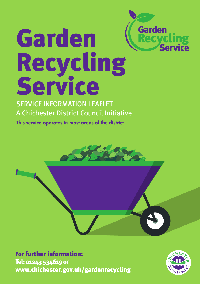# Garden Garden **ycling<br>Service** Recycling Service

### SERVICE INFORMATION LEAFLET A Chichester District Council Initiative

This service operates in most areas of the district



For further information: Tel: 01243 534619 or www.chichester.gov.uk/gardenrecycling

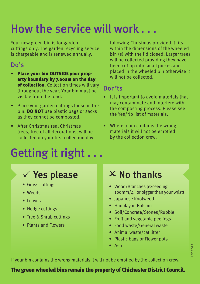## How the service will work . . .

Your new green bin is for garden cuttings only. The garden recycling service is chargeable and is renewed annually.

### Do's

- Place your bin OUTSIDE your property boundary by 7.00am on the day of collection. Collection times will vary throughout the year. Your bin must be visible from the road.
- Place your garden cuttings loose in the bin. **DO NOT** use plastic bags or sacks as they cannot be composted.
- After Christmas real Christmas trees, free of all decorations, will be collected on your first collection day

# Getting it right . . .

following Christmas provided it fits within the dimensions of the wheeled bin (s) with the lid closed. Larger trees will be collected providing they have been cut up into small pieces and placed in the wheeled bin otherwise it will not be collected.

#### Don'ts

- It is important to avoid materials that may contaminate and interfere with the composting process. Please see the Yes/No list of materials.
- Where a bin contains the wrong materials it will not be emptied by the collection crew.

## $\checkmark$  Yes please  $\checkmark$   $\times$  No thanks

- Grass cuttings
- Weeds
- Leaves
- Hedge cuttings
- Tree & Shrub cuttings
- Plants and Flowers

## $\times$  No thanks

- Wood/Branches (exceeding 100mm/4" or bigger than your wrist)
- Japanese Knotweed
- Himalayan Balsam
- Soil/Concrete/Stones/Rubble
- Fruit and vegetable peelings
- Food waste/General waste
- Animal waste/cat litter
- Plastic bags or Flower pots
- Ash

If your bin contains the wrong materials it will not be emptied by the collection crew.

#### The green wheeled bins remain the property of Chichester District Council.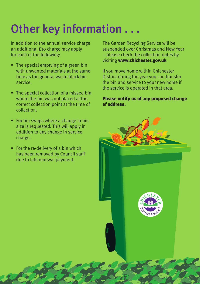# Other key information . . .

In addition to the annual service charge an additional £10 charge may apply for each of the following:

- The special emptying of a green bin with unwanted materials at the same time as the general waste black bin service.
- The special collection of a missed bin where the bin was not placed at the correct collection point at the time of collection.
- For bin swaps where a change in bin size is requested. This will apply in addition to any change in service charge.
- For the re-delivery of a bin which has been removed by Council staff due to late renewal payment.

The Garden Recycling Service will be suspended over Christmas and New Year – please check the collection dates by visiting www.chichester.gov.uk

If you move home within Chichester District during the year you can transfer the bin and service to your new home if the service is operated in that area.

#### Please notify us of any proposed change of address.